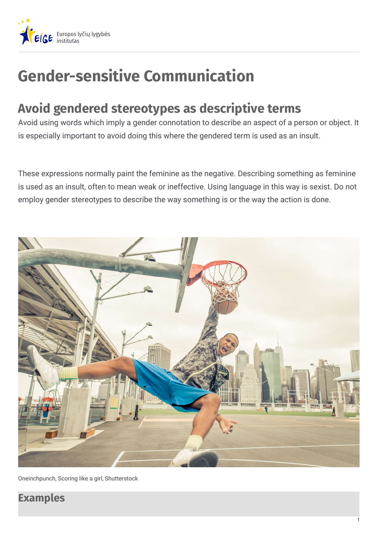

# **Gender-sensitive Communication**

## **Avoid gendered stereotypes as descriptive terms**

Avoid using words which imply a gender connotation to describe an aspect of a person or object. It is especially important to avoid doing this where the gendered term is used as an insult.

These expressions normally paint the feminine as the negative. Describing something as feminine is used as an insult, often to mean weak or ineffective. Using language in this way is sexist. Do not employ gender stereotypes to describe the way something is or the way the action is done.



Oneinchpunch, Scoring like a girl, Shutterstock

### **Examples**